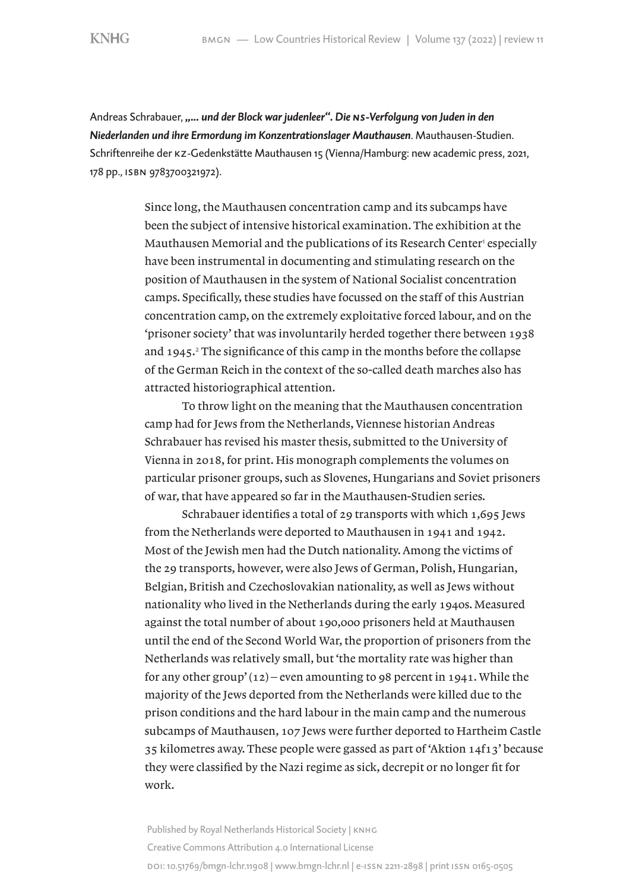Andreas Schrabauer, ,.... und der Block war judenleer". Die NS-Verfolgung von Juden in den *Niederlanden und ihre Ermordung im Konzentrationslager Mauthausen*. Mauthausen-Studien. Schriftenreihe der kz-Gedenkstätte Mauthausen 15 (Vienna/Hamburg: new academic press, 2021, 178 pp., isbn 9783700321972).

> Since long, the Mauthausen concentration camp and its subcamps have been the subject of intensive historical examination. The exhibition at the Mauthausen Memorial and the publications of its Research Center<sup>1</sup> especially have been instrumental in documenting and stimulating research on the position of Mauthausen in the system of National Socialist concentration camps. Specifically, these studies have focussed on the staff of this Austrian concentration camp, on the extremely exploitative forced labour, and on the 'prisoner society' that was involuntarily herded together there between 1938 and 1945.<sup>2</sup> The significance of this camp in the months before the collapse of the German Reich in the context of the so-called death marches also has attracted historiographical attention.

To throw light on the meaning that the Mauthausen concentration camp had for Jews from the Netherlands, Viennese historian Andreas Schrabauer has revised his master thesis, submitted to the University of Vienna in 2018, for print. His monograph complements the volumes on particular prisoner groups, such as Slovenes, Hungarians and Soviet prisoners of war, that have appeared so far in the Mauthausen-Studien series.

Schrabauer identifies a total of 29 transports with which 1,695 Jews from the Netherlands were deported to Mauthausen in 1941 and 1942. Most of the Jewish men had the Dutch nationality. Among the victims of the 29 transports, however, were also Jews of German, Polish, Hungarian, Belgian, British and Czechoslovakian nationality, as well as Jews without nationality who lived in the Netherlands during the early 1940s. Measured against the total number of about 190,000 prisoners held at Mauthausen until the end of the Second World War, the proportion of prisoners from the Netherlands was relatively small, but 'the mortality rate was higher than for any other group'  $(12)$  – even amounting to 98 percent in 1941. While the majority of the Jews deported from the Netherlands were killed due to the prison conditions and the hard labour in the main camp and the numerous subcamps of Mauthausen, 107 Jews were further deported to Hartheim Castle 35 kilometres away. These people were gassed as part of 'Aktion 14f13' because they were classified by the Nazi regime as sick, decrepit or no longer fit for work.

Published by Royal Netherlands Historical Society | KNHG Creative Commons Attribution 4.0 International License doi: [10.51769/bmgn-lchr.11908](http://doi.org/10.51769/bmgn-lchr.11908) | [www.bmgn-lchr.nl](http://www.bmgn-lchr.nl) | e-issn 2211-2898 | print issn 0165-0505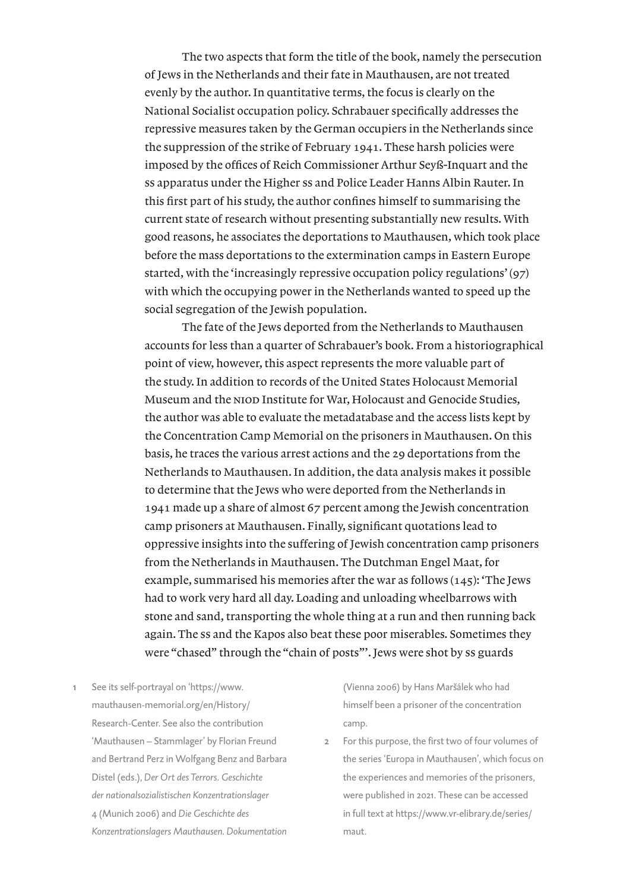The two aspects that form the title of the book, namely the persecution of Jews in the Netherlands and their fate in Mauthausen, are not treated evenly by the author. In quantitative terms, the focus is clearly on the National Socialist occupation policy. Schrabauer specifically addresses the repressive measures taken by the German occupiers in the Netherlands since the suppression of the strike of February 1941. These harsh policies were imposed by the offices of Reich Commissioner Arthur Seyß-Inquart and the ss apparatus under the Higher ss and Police Leader Hanns Albin Rauter. In this first part of his study, the author confines himself to summarising the current state of research without presenting substantially new results. With good reasons, he associates the deportations to Mauthausen, which took place before the mass deportations to the extermination camps in Eastern Europe started, with the 'increasingly repressive occupation policy regulations' (97) with which the occupying power in the Netherlands wanted to speed up the social segregation of the Jewish population.

The fate of the Jews deported from the Netherlands to Mauthausen accounts for less than a quarter of Schrabauer's book. From a historiographical point of view, however, this aspect represents the more valuable part of the study. In addition to records of the United States Holocaust Memorial Museum and the NIOD Institute for War, Holocaust and Genocide Studies, the author was able to evaluate the metadatabase and the access lists kept by the Concentration Camp Memorial on the prisoners in Mauthausen. On this basis, he traces the various arrest actions and the 29 deportations from the Netherlands to Mauthausen. In addition, the data analysis makes it possible to determine that the Jews who were deported from the Netherlands in 1941 made up a share of almost 67 percent among the Jewish concentration camp prisoners at Mauthausen. Finally, significant quotations lead to oppressive insights into the suffering of Jewish concentration camp prisoners from the Netherlands in Mauthausen. The Dutchman Engel Maat, for example, summarised his memories after the war as follows (145): 'The Jews had to work very hard all day. Loading and unloading wheelbarrows with stone and sand, transporting the whole thing at a run and then running back again. The ss and the Kapos also beat these poor miserables. Sometimes they were "chased" through the "chain of posts"'. Jews were shot by ss guards

1 See its self-portrayal on '[https://www.](https://www.mauthausen-memorial.org/en/History/Research-Center) [mauthausen-memorial.org/en/History/](https://www.mauthausen-memorial.org/en/History/Research-Center) [Research-Center.](https://www.mauthausen-memorial.org/en/History/Research-Center) See also the contribution 'Mauthausen – Stammlager' by Florian Freund and Bertrand Perz in Wolfgang Benz and Barbara Distel (eds.), *Der Ort des Terrors. Geschichte der nationalsozialistischen Konzentrationslager* 4 (Munich 2006) and *Die Geschichte des Konzentrationslagers Mauthausen. Dokumentation*

(Vienna 2006) by Hans Maršálek who had himself been a prisoner of the concentration camp.

2 For this purpose, the first two of four volumes of the series 'Europa in Mauthausen', which focus on the experiences and memories of the prisoners, were published in 2021. These can be accessed in full text at [https://www.vr-elibrary.de/series/](https://www.vr-elibrary.de/series/maut) [maut.](https://www.vr-elibrary.de/series/maut)